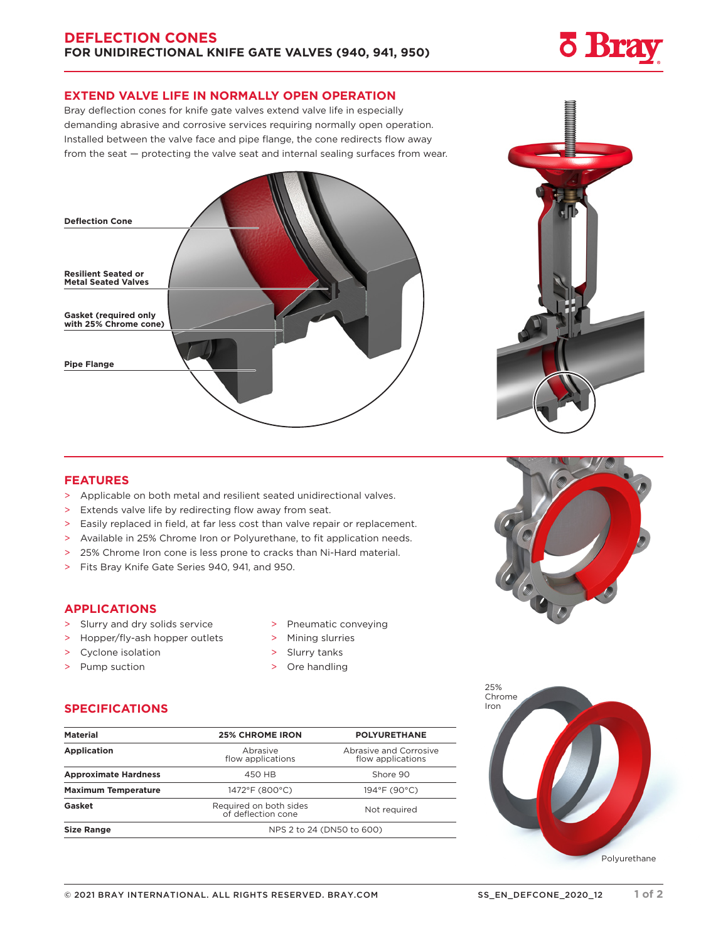## **EXTEND VALVE LIFE IN NORMALLY OPEN OPERATION**

Bray deflection cones for knife gate valves extend valve life in especially demanding abrasive and corrosive services requiring normally open operation. Installed between the valve face and pipe flange, the cone redirects flow away from the seat — protecting the valve seat and internal sealing surfaces from wear.



## **FEATURES**

- > Applicable on both metal and resilient seated unidirectional valves.
- > Extends valve life by redirecting flow away from seat.
- > Easily replaced in field, at far less cost than valve repair or replacement.
- > Available in 25% Chrome Iron or Polyurethane, to fit application needs.
- > 25% Chrome Iron cone is less prone to cracks than Ni-Hard material.
- > Fits Bray Knife Gate Series 940, 941, and 950.

### **APPLICATIONS**

- > Slurry and dry solids service
- > Hopper/fly-ash hopper outlets
- > Cyclone isolation
- > Pump suction
- > Pneumatic conveying
- > Mining slurries
- > Slurry tanks
- > Ore handling

## **SPECIFICATIONS**

| <b>Material</b>             | <b>25% CHROME IRON</b>                       | <b>POLYURETHANE</b>                         |
|-----------------------------|----------------------------------------------|---------------------------------------------|
| <b>Application</b>          | Abrasive<br>flow applications                | Abrasive and Corrosive<br>flow applications |
| <b>Approximate Hardness</b> | 450 HB                                       | Shore 90                                    |
| <b>Maximum Temperature</b>  | 1472°F (800°C)                               | $194^{\circ}$ F (90 $^{\circ}$ C)           |
| Gasket                      | Required on both sides<br>of deflection cone | Not required                                |
| <b>Size Range</b>           | NPS 2 to 24 (DN50 to 600)                    |                                             |



**Bra**